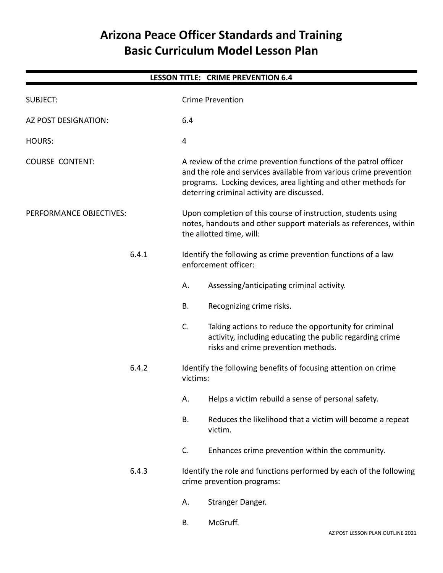# **Arizona Peace Officer Standards and Training Basic Curriculum Model Lesson Plan**

|                         |           |                                                                                                                                                                                                                                                       | <b>LESSON TITLE: CRIME PREVENTION 6.4</b>                                                                                                                |
|-------------------------|-----------|-------------------------------------------------------------------------------------------------------------------------------------------------------------------------------------------------------------------------------------------------------|----------------------------------------------------------------------------------------------------------------------------------------------------------|
| <b>SUBJECT:</b>         |           |                                                                                                                                                                                                                                                       | <b>Crime Prevention</b>                                                                                                                                  |
| AZ POST DESIGNATION:    | 6.4       |                                                                                                                                                                                                                                                       |                                                                                                                                                          |
| <b>HOURS:</b>           | 4         |                                                                                                                                                                                                                                                       |                                                                                                                                                          |
| <b>COURSE CONTENT:</b>  |           | A review of the crime prevention functions of the patrol officer<br>and the role and services available from various crime prevention<br>programs. Locking devices, area lighting and other methods for<br>deterring criminal activity are discussed. |                                                                                                                                                          |
| PERFORMANCE OBJECTIVES: |           | Upon completion of this course of instruction, students using<br>notes, handouts and other support materials as references, within<br>the allotted time, will:                                                                                        |                                                                                                                                                          |
| 6.4.1                   |           | Identify the following as crime prevention functions of a law<br>enforcement officer:                                                                                                                                                                 |                                                                                                                                                          |
|                         | Α.        |                                                                                                                                                                                                                                                       | Assessing/anticipating criminal activity.                                                                                                                |
|                         | <b>B.</b> |                                                                                                                                                                                                                                                       | Recognizing crime risks.                                                                                                                                 |
|                         | C.        |                                                                                                                                                                                                                                                       | Taking actions to reduce the opportunity for criminal<br>activity, including educating the public regarding crime<br>risks and crime prevention methods. |
| 6.4.2                   |           | victims:                                                                                                                                                                                                                                              | Identify the following benefits of focusing attention on crime                                                                                           |
|                         | А.        |                                                                                                                                                                                                                                                       | Helps a victim rebuild a sense of personal safety.                                                                                                       |
|                         | <b>B.</b> |                                                                                                                                                                                                                                                       | Reduces the likelihood that a victim will become a repeat<br>victim.                                                                                     |
|                         | C.        |                                                                                                                                                                                                                                                       | Enhances crime prevention within the community.                                                                                                          |
| 6.4.3                   |           |                                                                                                                                                                                                                                                       | Identify the role and functions performed by each of the following<br>crime prevention programs:                                                         |
|                         | А.        |                                                                                                                                                                                                                                                       | Stranger Danger.                                                                                                                                         |
|                         | Β.        |                                                                                                                                                                                                                                                       | McGruff.                                                                                                                                                 |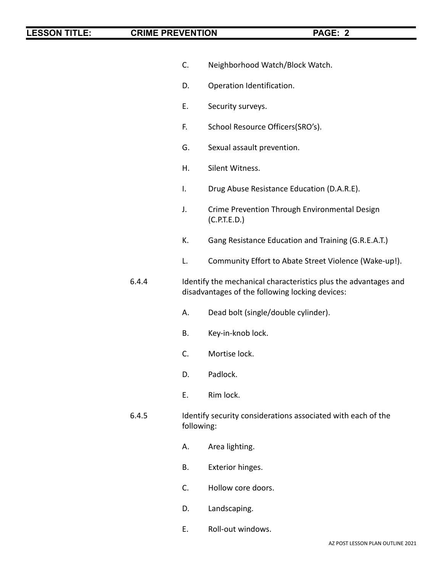- C. Neighborhood Watch/Block Watch.
- D. Operation Identification.
- E. Security surveys.
- F. School Resource Officers(SRO's).
- G. Sexual assault prevention.
- H. Silent Witness.
- I. Drug Abuse Resistance Education (D.A.R.E).
- J. Crime Prevention Through Environmental Design (C.P.T.E.D.)
- K. Gang Resistance Education and Training (G.R.E.A.T.)
- L. Community Effort to Abate Street Violence (Wake-up!).
- 6.4.4 Identify the mechanical characteristics plus the advantages and disadvantages of the following locking devices:
	- A. Dead bolt (single/double cylinder).
	- B. Key-in-knob lock.
	- C. Mortise lock.
	- D. Padlock.
	- E. Rim lock.
- 6.4.5 Identify security considerations associated with each of the following:
	- A. Area lighting.
	- B. Exterior hinges.
	- C. Hollow core doors.
	- D. Landscaping.
	- E. Roll-out windows.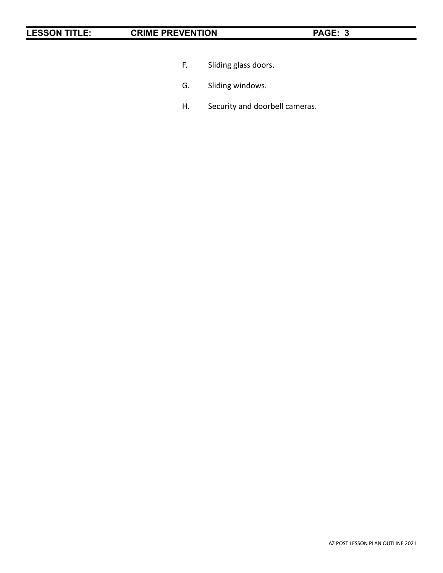- F. Sliding glass doors.
- G. Sliding windows.
- H. Security and doorbell cameras.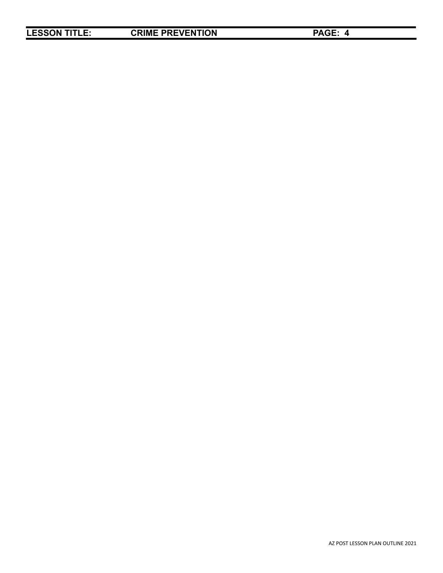AZ POST LESSON PLAN OUTLINE 2021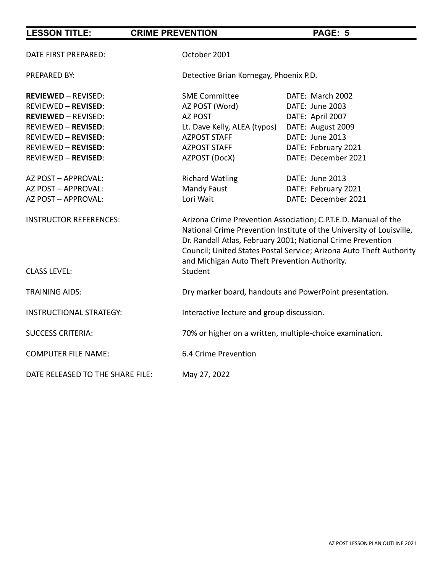| DATE FIRST PREPARED:             | October 2001                                                                                                                                                                                                                                                                                                                  |                     |  |
|----------------------------------|-------------------------------------------------------------------------------------------------------------------------------------------------------------------------------------------------------------------------------------------------------------------------------------------------------------------------------|---------------------|--|
| <b>PREPARED BY:</b>              | Detective Brian Kornegay, Phoenix P.D.                                                                                                                                                                                                                                                                                        |                     |  |
| <b>REVIEWED - REVISED:</b>       | <b>SME Committee</b>                                                                                                                                                                                                                                                                                                          | DATE: March 2002    |  |
| <b>REVIEWED - REVISED:</b>       | AZ POST (Word)                                                                                                                                                                                                                                                                                                                | DATE: June 2003     |  |
| <b>REVIEWED - REVISED:</b>       | <b>AZ POST</b>                                                                                                                                                                                                                                                                                                                | DATE: April 2007    |  |
| <b>REVIEWED - REVISED:</b>       | Lt. Dave Kelly, ALEA (typos)                                                                                                                                                                                                                                                                                                  | DATE: August 2009   |  |
| <b>REVIEWED - REVISED:</b>       | <b>AZPOST STAFF</b>                                                                                                                                                                                                                                                                                                           | DATE: June 2013     |  |
| <b>REVIEWED - REVISED:</b>       | <b>AZPOST STAFF</b>                                                                                                                                                                                                                                                                                                           | DATE: February 2021 |  |
| <b>REVIEWED - REVISED:</b>       | AZPOST (DocX)                                                                                                                                                                                                                                                                                                                 | DATE: December 2021 |  |
| AZ POST - APPROVAL:              | <b>Richard Watling</b>                                                                                                                                                                                                                                                                                                        | DATE: June 2013     |  |
| AZ POST - APPROVAL:              | Mandy Faust                                                                                                                                                                                                                                                                                                                   | DATE: February 2021 |  |
| AZ POST - APPROVAL:              | Lori Wait                                                                                                                                                                                                                                                                                                                     | DATE: December 2021 |  |
| <b>INSTRUCTOR REFERENCES:</b>    | Arizona Crime Prevention Association; C.P.T.E.D. Manual of the<br>National Crime Prevention Institute of the University of Louisville,<br>Dr. Randall Atlas, February 2001; National Crime Prevention<br>Council; United States Postal Service; Arizona Auto Theft Authority<br>and Michigan Auto Theft Prevention Authority. |                     |  |
| <b>CLASS LEVEL:</b>              | Student                                                                                                                                                                                                                                                                                                                       |                     |  |
| <b>TRAINING AIDS:</b>            | Dry marker board, handouts and PowerPoint presentation.                                                                                                                                                                                                                                                                       |                     |  |
| <b>INSTRUCTIONAL STRATEGY:</b>   | Interactive lecture and group discussion.                                                                                                                                                                                                                                                                                     |                     |  |
| <b>SUCCESS CRITERIA:</b>         | 70% or higher on a written, multiple-choice examination.                                                                                                                                                                                                                                                                      |                     |  |
| <b>COMPUTER FILE NAME:</b>       | 6.4 Crime Prevention                                                                                                                                                                                                                                                                                                          |                     |  |
| DATE RELEASED TO THE SHARE FILE: | May 27, 2022                                                                                                                                                                                                                                                                                                                  |                     |  |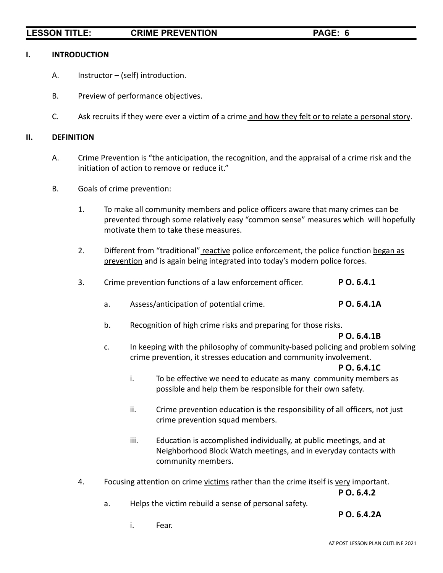### **I. INTRODUCTION**

- A. Instructor (self) introduction.
- B. Preview of performance objectives.
- C. Ask recruits if they were ever a victim of a crime and how they felt or to relate a personal story.

### **II. DEFINITION**

- A. Crime Prevention is "the anticipation, the recognition, and the appraisal of a crime risk and the initiation of action to remove or reduce it."
- B. Goals of crime prevention:
	- 1. To make all community members and police officers aware that many crimes can be prevented through some relatively easy "common sense" measures which will hopefully motivate them to take these measures.
	- 2. Different from "traditional" reactive police enforcement, the police function began as prevention and is again being integrated into today's modern police forces.
	- 3. Crime prevention functions of a law enforcement officer. **P O. 6.4.1**
		- a. Assess/anticipation of potential crime. **P O. 6.4.1A**
		- b. Recognition of high crime risks and preparing for those risks.

### **P O. 6.4.1B**

c. In keeping with the philosophy of community-based policing and problem solving crime prevention, it stresses education and community involvement.

### **P O. 6.4.1C**

- i. To be effective we need to educate as many community members as possible and help them be responsible for their own safety.
- ii. Crime prevention education is the responsibility of all officers, not just crime prevention squad members.
- iii. Education is accomplished individually, at public meetings, and at Neighborhood Block Watch meetings, and in everyday contacts with community members.
- 4. Focusing attention on crime victims rather than the crime itself is very important.

**P O. 6.4.2**

a. Helps the victim rebuild a sense of personal safety.

### **P O. 6.4.2A**

i. Fear.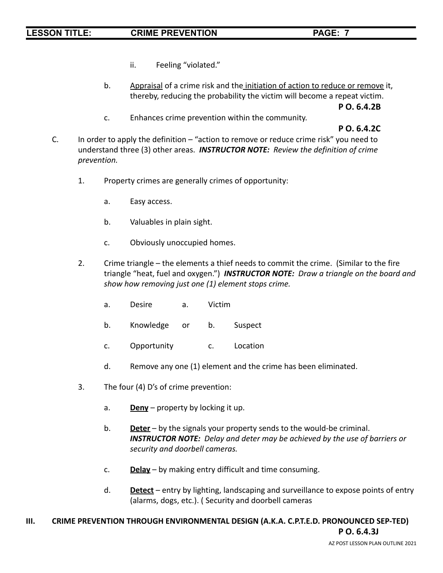- ii. Feeling "violated."
- b. Appraisal of a crime risk and the initiation of action to reduce or remove it, thereby, reducing the probability the victim will become a repeat victim.

**P O. 6.4.2B**

c. Enhances crime prevention within the community.

**P O. 6.4.2C**

- C. In order to apply the definition "action to remove or reduce crime risk" you need to understand three (3) other areas. *INSTRUCTOR NOTE: Review the definition of crime prevention.*
	- 1. Property crimes are generally crimes of opportunity:
		- a. Easy access.
		- b. Valuables in plain sight.
		- c. Obviously unoccupied homes.
	- 2. Crime triangle the elements a thief needs to commit the crime. (Similar to the fire triangle "heat, fuel and oxygen.") *INSTRUCTOR NOTE: Draw a triangle on the board and show how removing just one (1) element stops crime.*
		- a. Desire a. Victim
		- b. Knowledge or b. Suspect
		- c. Opportunity c. Location
		- d. Remove any one (1) element and the crime has been eliminated.
	- 3. The four (4) D's of crime prevention:
		- a. **Deny** property by locking it up.
		- b. **Deter** by the signals your property sends to the would-be criminal. *INSTRUCTOR NOTE: Delay and deter may be achieved by the use of barriers or security and doorbell cameras.*
		- c. **Delay** by making entry difficult and time consuming.
		- d. **Detect** entry by lighting, landscaping and surveillance to expose points of entry (alarms, dogs, etc.). ( Security and doorbell cameras

### **III. CRIME PREVENTION THROUGH ENVIRONMENTAL DESIGN (A.K.A. C.P.T.E.D. PRONOUNCED SEP-TED) P O. 6.4.3J**

AZ POST LESSON PLAN OUTLINE 2021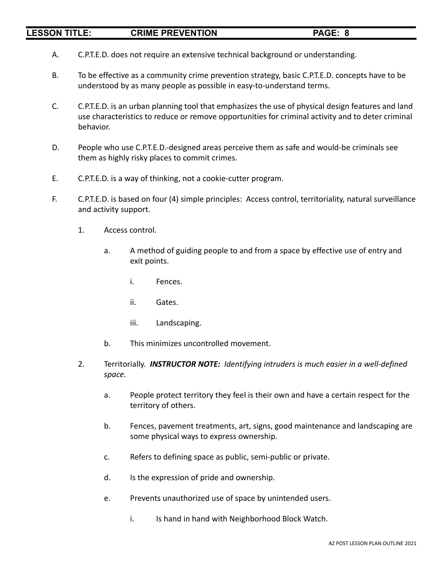- A. C.P.T.E.D. does not require an extensive technical background or understanding.
- B. To be effective as a community crime prevention strategy, basic C.P.T.E.D. concepts have to be understood by as many people as possible in easy-to-understand terms.
- C. C.P.T.E.D. is an urban planning tool that emphasizes the use of physical design features and land use characteristics to reduce or remove opportunities for criminal activity and to deter criminal behavior.
- D. People who use C.P.T.E.D.-designed areas perceive them as safe and would-be criminals see them as highly risky places to commit crimes.
- E. C.P.T.E.D. is a way of thinking, not a cookie-cutter program.
- F. C.P.T.E.D. is based on four (4) simple principles: Access control, territoriality, natural surveillance and activity support.
	- 1. Access control.
		- a. A method of guiding people to and from a space by effective use of entry and exit points.
			- i. Fences.
			- ii. Gates.
			- iii. Landscaping.
		- b. This minimizes uncontrolled movement.
	- 2. Territorially. *INSTRUCTOR NOTE: Identifying intruders is much easier in a well-defined space.*
		- a. People protect territory they feel is their own and have a certain respect for the territory of others.
		- b. Fences, pavement treatments, art, signs, good maintenance and landscaping are some physical ways to express ownership.
		- c. Refers to defining space as public, semi-public or private.
		- d. Is the expression of pride and ownership.
		- e. Prevents unauthorized use of space by unintended users.
			- i. Is hand in hand with Neighborhood Block Watch.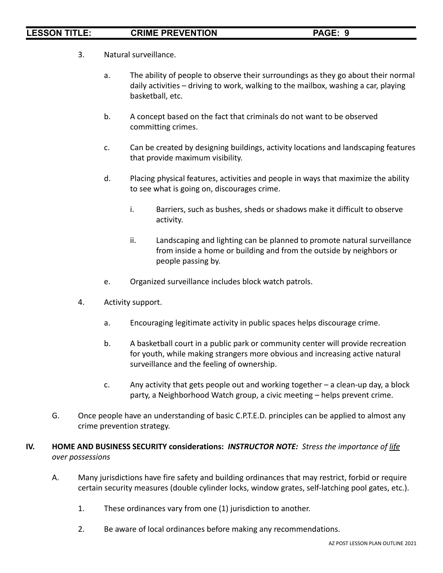- 3. Natural surveillance.
	- a. The ability of people to observe their surroundings as they go about their normal daily activities – driving to work, walking to the mailbox, washing a car, playing basketball, etc.
	- b. A concept based on the fact that criminals do not want to be observed committing crimes.
	- c. Can be created by designing buildings, activity locations and landscaping features that provide maximum visibility.
	- d. Placing physical features, activities and people in ways that maximize the ability to see what is going on, discourages crime.
		- i. Barriers, such as bushes, sheds or shadows make it difficult to observe activity.
		- ii. Landscaping and lighting can be planned to promote natural surveillance from inside a home or building and from the outside by neighbors or people passing by.
	- e. Organized surveillance includes block watch patrols.
- 4. Activity support.
	- a. Encouraging legitimate activity in public spaces helps discourage crime.
	- b. A basketball court in a public park or community center will provide recreation for youth, while making strangers more obvious and increasing active natural surveillance and the feeling of ownership.
	- c. Any activity that gets people out and working together a clean-up day, a block party, a Neighborhood Watch group, a civic meeting – helps prevent crime.
- G. Once people have an understanding of basic C.P.T.E.D. principles can be applied to almost any crime prevention strategy.
- **IV. HOME AND BUSINESS SECURITY considerations:** *INSTRUCTOR NOTE: Stress the importance of life over possessions*
	- A. Many jurisdictions have fire safety and building ordinances that may restrict, forbid or require certain security measures (double cylinder locks, window grates, self-latching pool gates, etc.).
		- 1. These ordinances vary from one (1) jurisdiction to another.
		- 2. Be aware of local ordinances before making any recommendations.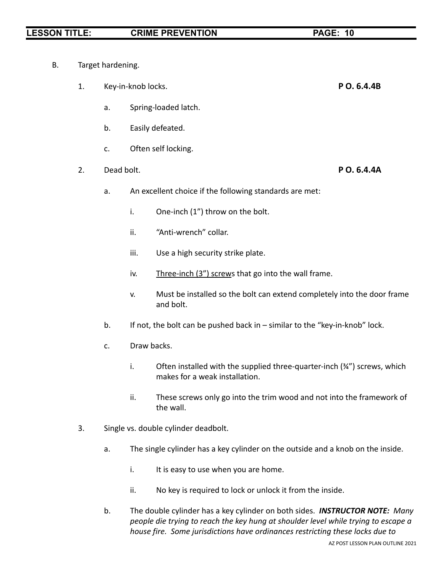- B. Target hardening.
	- 1. Key-in-knob locks. **P O. 6.4.4B**
		- a. Spring-loaded latch.
		- b. Easily defeated.
		- c. Often self locking.
	- 2. Dead bolt. **P O. 6.4.4A**

- a. An excellent choice if the following standards are met:
	- i. One-inch (1") throw on the bolt.
	- ii. "Anti-wrench" collar.
	- iii. Use a high security strike plate.
	- iv. Three-inch (3") screws that go into the wall frame.
	- v. Must be installed so the bolt can extend completely into the door frame and bolt.
- b. If not, the bolt can be pushed back in  $-$  similar to the "key-in-knob" lock.
- c. Draw backs.
	- i. Often installed with the supplied three-quarter-inch (¾") screws, which makes for a weak installation.
	- ii. These screws only go into the trim wood and not into the framework of the wall.
- 3. Single vs. double cylinder deadbolt.
	- a. The single cylinder has a key cylinder on the outside and a knob on the inside.
		- i. It is easy to use when you are home.
		- ii. No key is required to lock or unlock it from the inside.
	- b. The double cylinder has a key cylinder on both sides. *INSTRUCTOR NOTE: Many people die trying to reach the key hung at shoulder level while trying to escape a house fire. Some jurisdictions have ordinances restricting these locks due to*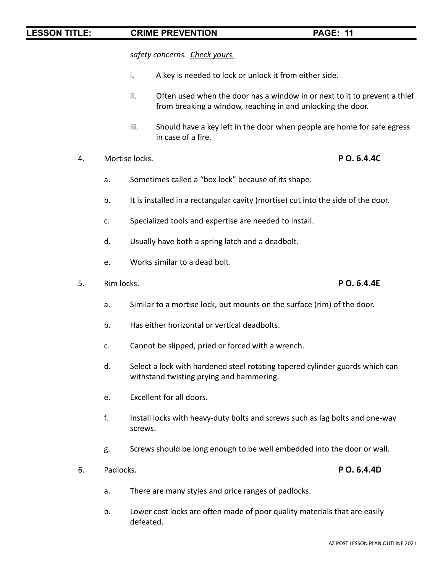*safety concerns. Check yours.*

- i. A key is needed to lock or unlock it from either side.
- ii. Often used when the door has a window in or next to it to prevent a thief from breaking a window, reaching in and unlocking the door.
- iii. Should have a key left in the door when people are home for safe egress in case of a fire.
- 4. Mortise locks. **P O. 6.4.4C**
	- a. Sometimes called a "box lock" because of its shape.
	- b. It is installed in a rectangular cavity (mortise) cut into the side of the door.
	- c. Specialized tools and expertise are needed to install.
	- d. Usually have both a spring latch and a deadbolt.
	- e. Works similar to a dead bolt.
- 5. Rim locks. **P O. 6.4.4E**
	- a. Similar to a mortise lock, but mounts on the surface (rim) of the door.
	- b. Has either horizontal or vertical deadbolts.
	- c. Cannot be slipped, pried or forced with a wrench.
	- d. Select a lock with hardened steel rotating tapered cylinder guards which can withstand twisting prying and hammering.
	- e. Excellent for all doors.
	- f. Install locks with heavy-duty bolts and screws such as lag bolts and one-way screws.
	- g. Screws should be long enough to be well embedded into the door or wall.
- 6. Padlocks. **P O. 6.4.4D**

- a. There are many styles and price ranges of padlocks.
- b. Lower cost locks are often made of poor quality materials that are easily defeated.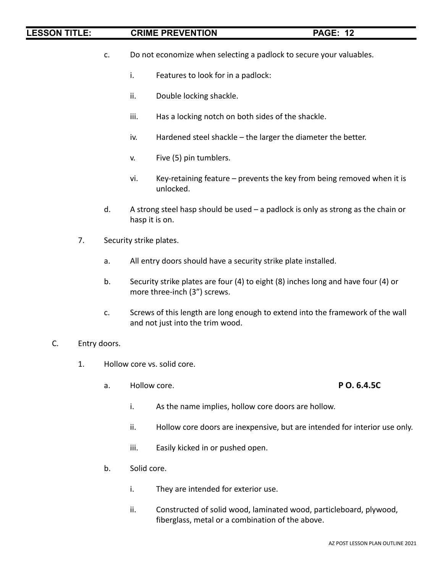- c. Do not economize when selecting a padlock to secure your valuables.
	- i. Features to look for in a padlock:
	- ii. Double locking shackle.
	- iii. Has a locking notch on both sides of the shackle.
	- iv. Hardened steel shackle the larger the diameter the better.
	- v. Five (5) pin tumblers.
	- vi. Key-retaining feature prevents the key from being removed when it is unlocked.
- d. A strong steel hasp should be used a padlock is only as strong as the chain or hasp it is on.
- 7. Security strike plates.
	- a. All entry doors should have a security strike plate installed.
	- b. Security strike plates are four (4) to eight (8) inches long and have four (4) or more three-inch (3") screws.
	- c. Screws of this length are long enough to extend into the framework of the wall and not just into the trim wood.
- C. Entry doors.
	- 1. Hollow core vs. solid core.
		- a. Hollow core. **P O. 6.4.5C**

- i. As the name implies, hollow core doors are hollow.
- ii. Hollow core doors are inexpensive, but are intended for interior use only.
- iii. Easily kicked in or pushed open.
- b. Solid core.
	- i. They are intended for exterior use.
	- ii. Constructed of solid wood, laminated wood, particleboard, plywood, fiberglass, metal or a combination of the above.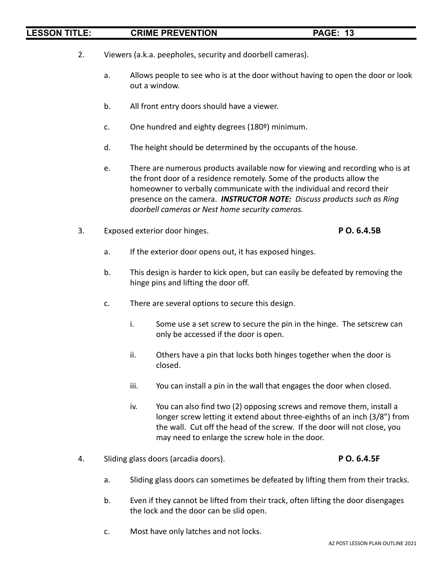- 2. Viewers (a.k.a. peepholes, security and doorbell cameras).
	- a. Allows people to see who is at the door without having to open the door or look out a window.
	- b. All front entry doors should have a viewer.
	- c. One hundred and eighty degrees (180º) minimum.
	- d. The height should be determined by the occupants of the house.
	- e. There are numerous products available now for viewing and recording who is at the front door of a residence remotely. Some of the products allow the homeowner to verbally communicate with the individual and record their presence on the camera. *INSTRUCTOR NOTE: Discuss products such as Ring doorbell cameras or Nest home security cameras.*
- 3. Exposed exterior door hinges. **P O. 6.4.5B**
	- a. If the exterior door opens out, it has exposed hinges.
	- b. This design is harder to kick open, but can easily be defeated by removing the hinge pins and lifting the door off.
	- c. There are several options to secure this design.
		- i. Some use a set screw to secure the pin in the hinge. The setscrew can only be accessed if the door is open.
		- ii. Others have a pin that locks both hinges together when the door is closed.
		- iii. You can install a pin in the wall that engages the door when closed.
		- iv. You can also find two (2) opposing screws and remove them, install a longer screw letting it extend about three-eighths of an inch (3/8") from the wall. Cut off the head of the screw. If the door will not close, you may need to enlarge the screw hole in the door.
- 4. Sliding glass doors (arcadia doors). **P O. 6.4.5F**
- - a. Sliding glass doors can sometimes be defeated by lifting them from their tracks.
	- b. Even if they cannot be lifted from their track, often lifting the door disengages the lock and the door can be slid open.
	- c. Most have only latches and not locks.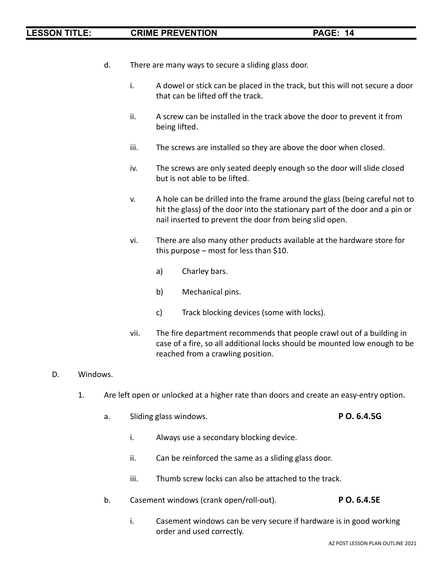- d. There are many ways to secure a sliding glass door.
	- i. A dowel or stick can be placed in the track, but this will not secure a door that can be lifted off the track.
	- ii. A screw can be installed in the track above the door to prevent it from being lifted.
	- iii. The screws are installed so they are above the door when closed.
	- iv. The screws are only seated deeply enough so the door will slide closed but is not able to be lifted.
	- v. A hole can be drilled into the frame around the glass (being careful not to hit the glass) of the door into the stationary part of the door and a pin or nail inserted to prevent the door from being slid open.
	- vi. There are also many other products available at the hardware store for this purpose – most for less than \$10.
		- a) Charley bars.
		- b) Mechanical pins.
		- c) Track blocking devices (some with locks).
	- vii. The fire department recommends that people crawl out of a building in case of a fire, so all additional locks should be mounted low enough to be reached from a crawling position.

### D. Windows.

- 1. Are left open or unlocked at a higher rate than doors and create an easy-entry option.
	- a. Sliding glass windows. **P O. 6.4.5G**
		- i. Always use a secondary blocking device.
		- ii. Can be reinforced the same as a sliding glass door.
		- iii. Thumb screw locks can also be attached to the track.
	- b. Casement windows (crank open/roll-out). **P O. 6.4.5E**
		- i. Casement windows can be very secure if hardware is in good working order and used correctly.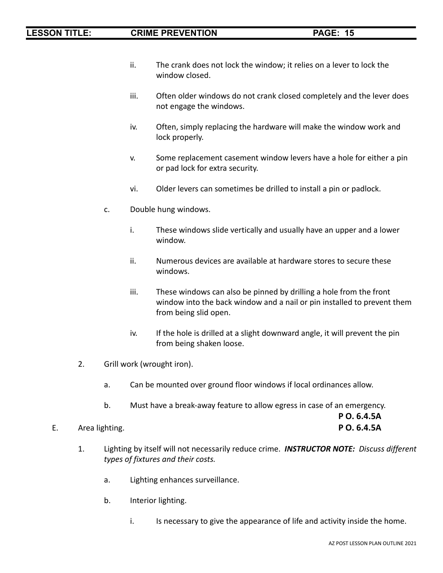- ii. The crank does not lock the window; it relies on a lever to lock the window closed.
- iii. Often older windows do not crank closed completely and the lever does not engage the windows.
- iv. Often, simply replacing the hardware will make the window work and lock properly.
- v. Some replacement casement window levers have a hole for either a pin or pad lock for extra security.
- vi. Older levers can sometimes be drilled to install a pin or padlock.
- c. Double hung windows.
	- i. These windows slide vertically and usually have an upper and a lower window.
	- ii. Numerous devices are available at hardware stores to secure these windows.
	- iii. These windows can also be pinned by drilling a hole from the front window into the back window and a nail or pin installed to prevent them from being slid open.
	- iv. If the hole is drilled at a slight downward angle, it will prevent the pin from being shaken loose.
- 2. Grill work (wrought iron).
	- a. Can be mounted over ground floor windows if local ordinances allow.
	- b. Must have a break-away feature to allow egress in case of an emergency.

**P O. 6.4.5A**

- E. Area lighting. **P O. 6.4.5A**
	- 1. Lighting by itself will not necessarily reduce crime. *INSTRUCTOR NOTE: Discuss different types of fixtures and their costs.*
		- a. Lighting enhances surveillance.
		- b. Interior lighting.
			- i. Is necessary to give the appearance of life and activity inside the home.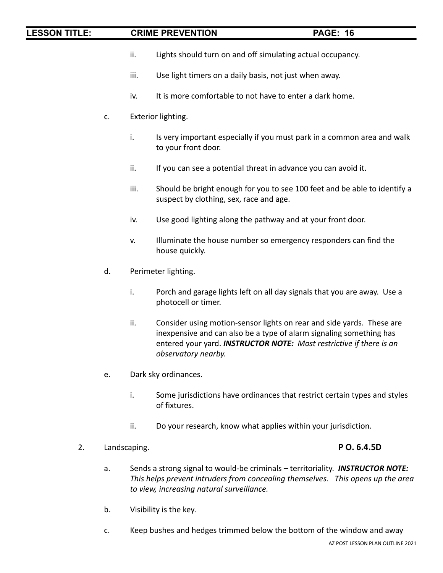- ii. Lights should turn on and off simulating actual occupancy.
- iii. Use light timers on a daily basis, not just when away.
- iv. It is more comfortable to not have to enter a dark home.
- c. Exterior lighting.
	- i. Is very important especially if you must park in a common area and walk to your front door.
	- ii. If you can see a potential threat in advance you can avoid it.
	- iii. Should be bright enough for you to see 100 feet and be able to identify a suspect by clothing, sex, race and age.
	- iv. Use good lighting along the pathway and at your front door.
	- v. Illuminate the house number so emergency responders can find the house quickly.
- d. Perimeter lighting.
	- i. Porch and garage lights left on all day signals that you are away. Use a photocell or timer.
	- ii. Consider using motion-sensor lights on rear and side yards. These are inexpensive and can also be a type of alarm signaling something has entered your yard. *INSTRUCTOR NOTE: Most restrictive if there is an observatory nearby.*
- e. Dark sky ordinances.
	- i. Some jurisdictions have ordinances that restrict certain types and styles of fixtures.
	- ii. Do your research, know what applies within your jurisdiction.
- 2. Landscaping. **P O. 6.4.5D**
	- a. Sends a strong signal to would-be criminals territoriality. *INSTRUCTOR NOTE: This helps prevent intruders from concealing themselves. This opens up the area to view, increasing natural surveillance.*
	- b. Visibility is the key.
	- c. Keep bushes and hedges trimmed below the bottom of the window and away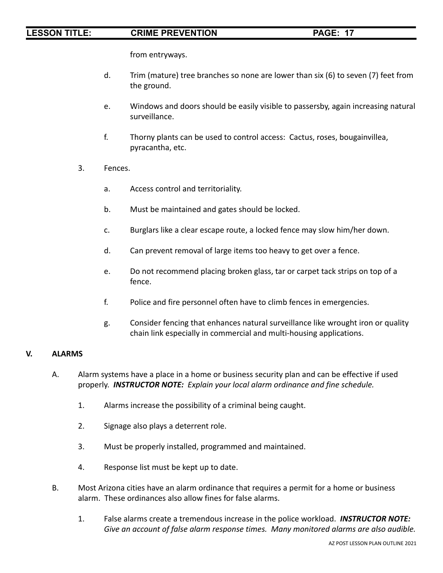from entryways.

- d. Trim (mature) tree branches so none are lower than six (6) to seven (7) feet from the ground.
- e. Windows and doors should be easily visible to passersby, again increasing natural surveillance.
- f. Thorny plants can be used to control access: Cactus, roses, bougainvillea, pyracantha, etc.
- 3. Fences.
	- a. Access control and territoriality.
	- b. Must be maintained and gates should be locked.
	- c. Burglars like a clear escape route, a locked fence may slow him/her down.
	- d. Can prevent removal of large items too heavy to get over a fence.
	- e. Do not recommend placing broken glass, tar or carpet tack strips on top of a fence.
	- f. Police and fire personnel often have to climb fences in emergencies.
	- g. Consider fencing that enhances natural surveillance like wrought iron or quality chain link especially in commercial and multi-housing applications.

### **V. ALARMS**

- A. Alarm systems have a place in a home or business security plan and can be effective if used properly. *INSTRUCTOR NOTE: Explain your local alarm ordinance and fine schedule.*
	- 1. Alarms increase the possibility of a criminal being caught.
	- 2. Signage also plays a deterrent role.
	- 3. Must be properly installed, programmed and maintained.
	- 4. Response list must be kept up to date.
- B. Most Arizona cities have an alarm ordinance that requires a permit for a home or business alarm. These ordinances also allow fines for false alarms.
	- 1. False alarms create a tremendous increase in the police workload. *INSTRUCTOR NOTE: Give an account of false alarm response times. Many monitored alarms are also audible.*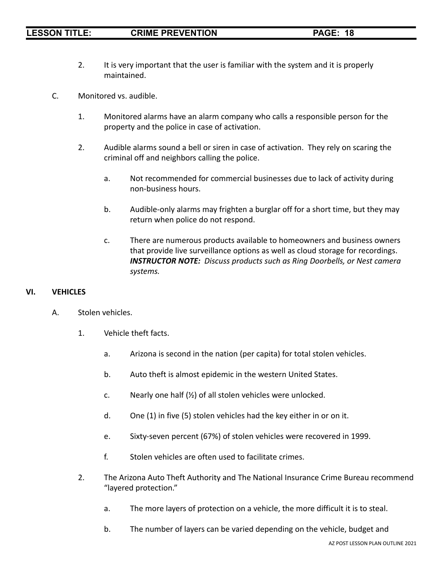- 2. It is very important that the user is familiar with the system and it is properly maintained.
- C. Monitored vs. audible.
	- 1. Monitored alarms have an alarm company who calls a responsible person for the property and the police in case of activation.
	- 2. Audible alarms sound a bell or siren in case of activation. They rely on scaring the criminal off and neighbors calling the police.
		- a. Not recommended for commercial businesses due to lack of activity during non-business hours.
		- b. Audible-only alarms may frighten a burglar off for a short time, but they may return when police do not respond.
		- c. There are numerous products available to homeowners and business owners that provide live surveillance options as well as cloud storage for recordings. *INSTRUCTOR NOTE: Discuss products such as Ring Doorbells, or Nest camera systems.*

### **VI. VEHICLES**

- A. Stolen vehicles.
	- 1. Vehicle theft facts.
		- a. Arizona is second in the nation (per capita) for total stolen vehicles.
		- b. Auto theft is almost epidemic in the western United States.
		- c. Nearly one half (½) of all stolen vehicles were unlocked.
		- d. One (1) in five (5) stolen vehicles had the key either in or on it.
		- e. Sixty-seven percent (67%) of stolen vehicles were recovered in 1999.
		- f. Stolen vehicles are often used to facilitate crimes.
	- 2. The Arizona Auto Theft Authority and The National Insurance Crime Bureau recommend "layered protection."
		- a. The more layers of protection on a vehicle, the more difficult it is to steal.
		- b. The number of layers can be varied depending on the vehicle, budget and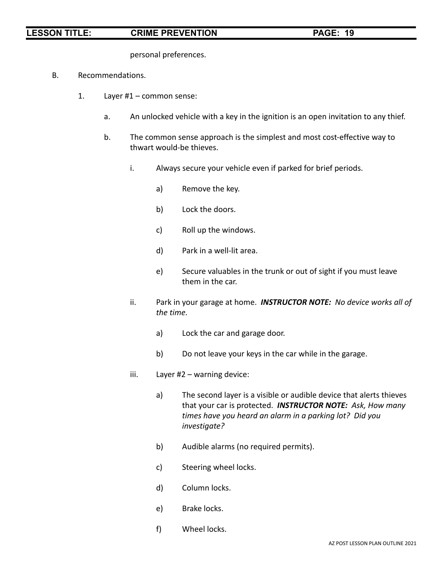personal preferences.

- B. Recommendations.
	- 1. Layer #1 common sense:
		- a. An unlocked vehicle with a key in the ignition is an open invitation to any thief.
		- b. The common sense approach is the simplest and most cost-effective way to thwart would-be thieves.
			- i. Always secure your vehicle even if parked for brief periods.
				- a) Remove the key.
				- b) Lock the doors.
				- c) Roll up the windows.
				- d) Park in a well-lit area.
				- e) Secure valuables in the trunk or out of sight if you must leave them in the car.
			- ii. Park in your garage at home. *INSTRUCTOR NOTE: No device works all of the time.*
				- a) Lock the car and garage door.
				- b) Do not leave your keys in the car while in the garage.
			- iii. Layer #2 warning device:
				- a) The second layer is a visible or audible device that alerts thieves that your car is protected. *INSTRUCTOR NOTE: Ask, How many times have you heard an alarm in a parking lot? Did you investigate?*
				- b) Audible alarms (no required permits).
				- c) Steering wheel locks.
				- d) Column locks.
				- e) Brake locks.
				- f) Wheel locks.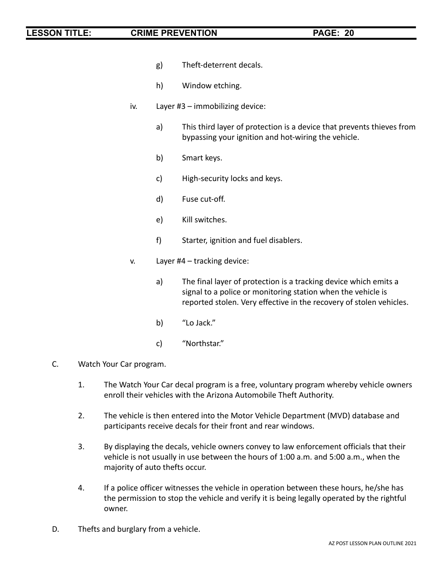- g) Theft-deterrent decals.
- h) Window etching.
- iv. Layer #3 immobilizing device:
	- a) This third layer of protection is a device that prevents thieves from bypassing your ignition and hot-wiring the vehicle.
	- b) Smart keys.
	- c) High-security locks and keys.
	- d) Fuse cut-off.
	- e) Kill switches.
	- f) Starter, ignition and fuel disablers.
- v. Layer #4 tracking device:
	- a) The final layer of protection is a tracking device which emits a signal to a police or monitoring station when the vehicle is reported stolen. Very effective in the recovery of stolen vehicles.
	- b) "Lo Jack."
	- c) "Northstar."
- C. Watch Your Car program.
	- 1. The Watch Your Car decal program is a free, voluntary program whereby vehicle owners enroll their vehicles with the Arizona Automobile Theft Authority.
	- 2. The vehicle is then entered into the Motor Vehicle Department (MVD) database and participants receive decals for their front and rear windows.
	- 3. By displaying the decals, vehicle owners convey to law enforcement officials that their vehicle is not usually in use between the hours of 1:00 a.m. and 5:00 a.m., when the majority of auto thefts occur.
	- 4. If a police officer witnesses the vehicle in operation between these hours, he/she has the permission to stop the vehicle and verify it is being legally operated by the rightful owner.
- D. Thefts and burglary from a vehicle.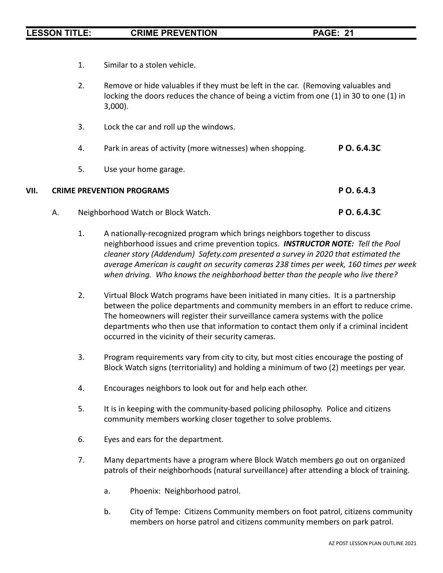- 1. Similar to a stolen vehicle.
- 2. Remove or hide valuables if they must be left in the car. (Removing valuables and locking the doors reduces the chance of being a victim from one (1) in 30 to one (1) in 3,000).
- 3. Lock the car and roll up the windows.
- 4. Park in areas of activity (more witnesses) when shopping. **P O. 6.4.3C**
- 5. Use your home garage.

| VII. | <b>CRIME PREVENTION PROGRAMS</b>   | P O. 6.4.3  |  |
|------|------------------------------------|-------------|--|
|      | Neighborhood Watch or Block Watch. | P O. 6.4.3C |  |

- 1. A nationally-recognized program which brings neighbors together to discuss neighborhood issues and crime prevention topics. *INSTRUCTOR NOTE: Tell the Pool cleaner story (Addendum) Safety.com presented a survey in 2020 that estimated the average American is caught on security cameras 238 times per week, 160 times per week when driving. Who knows the neighborhood better than the people who live there?*
- 2. Virtual Block Watch programs have been initiated in many cities. It is a partnership between the police departments and community members in an effort to reduce crime. The homeowners will register their surveillance camera systems with the police departments who then use that information to contact them only if a criminal incident occurred in the vicinity of their security cameras.
- 3. Program requirements vary from city to city, but most cities encourage the posting of Block Watch signs (territoriality) and holding a minimum of two (2) meetings per year.
- 4. Encourages neighbors to look out for and help each other.
- 5. It is in keeping with the community-based policing philosophy. Police and citizens community members working closer together to solve problems.
- 6. Eyes and ears for the department.
- 7. Many departments have a program where Block Watch members go out on organized patrols of their neighborhoods (natural surveillance) after attending a block of training.
	- a. Phoenix: Neighborhood patrol.
	- b. City of Tempe: Citizens Community members on foot patrol, citizens community members on horse patrol and citizens community members on park patrol.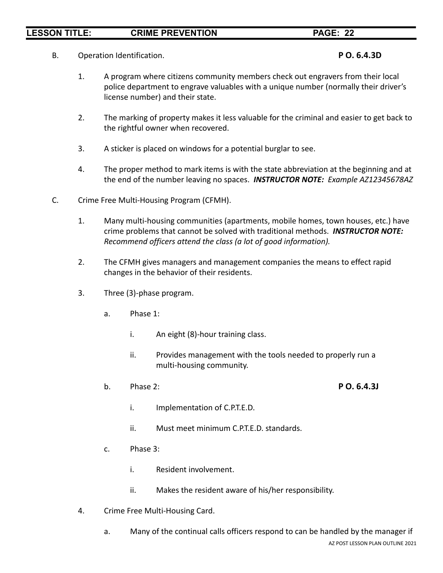B. Operation Identification. **P O. 6.4.3D**

- 1. A program where citizens community members check out engravers from their local police department to engrave valuables with a unique number (normally their driver's license number) and their state.
- 2. The marking of property makes it less valuable for the criminal and easier to get back to the rightful owner when recovered.
- 3. A sticker is placed on windows for a potential burglar to see.
- 4. The proper method to mark items is with the state abbreviation at the beginning and at the end of the number leaving no spaces. *INSTRUCTOR NOTE: Example AZ12345678AZ*
- C. Crime Free Multi-Housing Program (CFMH).
	- 1. Many multi-housing communities (apartments, mobile homes, town houses, etc.) have crime problems that cannot be solved with traditional methods. *INSTRUCTOR NOTE: Recommend officers attend the class (a lot of good information).*
	- 2. The CFMH gives managers and management companies the means to effect rapid changes in the behavior of their residents.
	- 3. Three (3)-phase program.
		- a. Phase 1:
			- i. An eight (8)-hour training class.
			- ii. Provides management with the tools needed to properly run a multi-housing community.
		- b. Phase 2: **P O. 6.4.3J**

- i. Implementation of C.P.T.E.D.
- ii. Must meet minimum C.P.T.E.D. standards.
- c. Phase 3:
	- i. Resident involvement.
	- ii. Makes the resident aware of his/her responsibility.
- 4. Crime Free Multi-Housing Card.
	- a. Many of the continual calls officers respond to can be handled by the manager if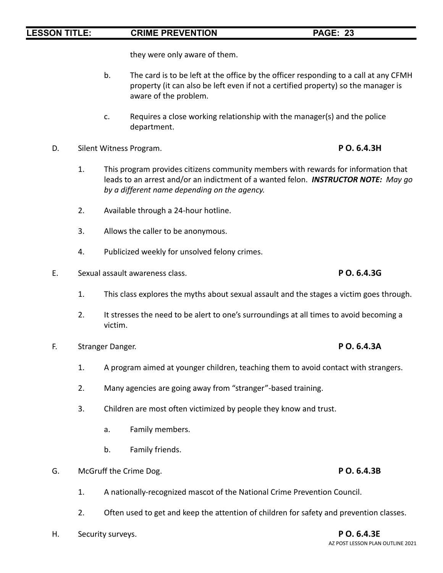# AZ POST LESSON PLAN OUTLINE 2021

# **LESSON TITLE: CRIME PREVENTION PAGE: 23**

they were only aware of them.

- b. The card is to be left at the office by the officer responding to a call at any CFMH property (it can also be left even if not a certified property) so the manager is aware of the problem.
- c. Requires a close working relationship with the manager(s) and the police department.
- D. Silent Witness Program. **P O. 6.4.3H**
	- 1. This program provides citizens community members with rewards for information that leads to an arrest and/or an indictment of a wanted felon. *INSTRUCTOR NOTE: May go by a different name depending on the agency.*
	- 2. Available through a 24-hour hotline.
	- 3. Allows the caller to be anonymous.
	- 4. Publicized weekly for unsolved felony crimes.
- E. Sexual assault awareness class. **P O. 6.4.3G**
	- 1. This class explores the myths about sexual assault and the stages a victim goes through.
	- 2. It stresses the need to be alert to one's surroundings at all times to avoid becoming a victim.
- F. Stranger Danger. **P O. 6.4.3A**
	- 1. A program aimed at younger children, teaching them to avoid contact with strangers.
	- 2. Many agencies are going away from "stranger"-based training.
	- 3. Children are most often victimized by people they know and trust.
		- a. Family members.
		- b. Family friends.
- G. McGruff the Crime Dog. **P O. 6.4.3B**
	- 1. A nationally-recognized mascot of the National Crime Prevention Council.
	- 2. Often used to get and keep the attention of children for safety and prevention classes.
- H. Security surveys. **P O. 6.4.3E**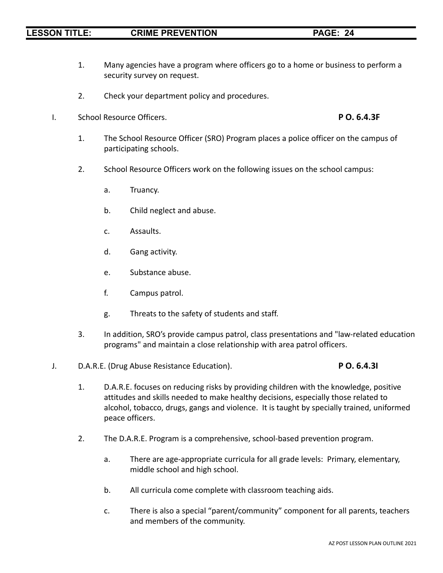- 1. Many agencies have a program where officers go to a home or business to perform a security survey on request.
- 2. Check your department policy and procedures.
- I. School Resource Officers. **P O. 6.4.3F**

- 1. The School Resource Officer (SRO) Program places a police officer on the campus of participating schools.
- 2. School Resource Officers work on the following issues on the school campus:
	- a. Truancy.
	- b. Child neglect and abuse.
	- c. Assaults.
	- d. Gang activity.
	- e. Substance abuse.
	- f. Campus patrol.
	- g. Threats to the safety of students and staff.
- 3. In addition, SRO's provide campus patrol, class presentations and "law-related education programs" and maintain a close relationship with area patrol officers.
- J. D.A.R.E. (Drug Abuse Resistance Education). **P O. 6.4.3I**

- 1. D.A.R.E. focuses on reducing risks by providing children with the knowledge, positive attitudes and skills needed to make healthy decisions, especially those related to alcohol, tobacco, drugs, gangs and violence. It is taught by specially trained, uniformed peace officers.
- 2. The D.A.R.E. Program is a comprehensive, school-based prevention program.
	- a. There are age-appropriate curricula for all grade levels: Primary, elementary, middle school and high school.
	- b. All curricula come complete with classroom teaching aids.
	- c. There is also a special "parent/community" component for all parents, teachers and members of the community.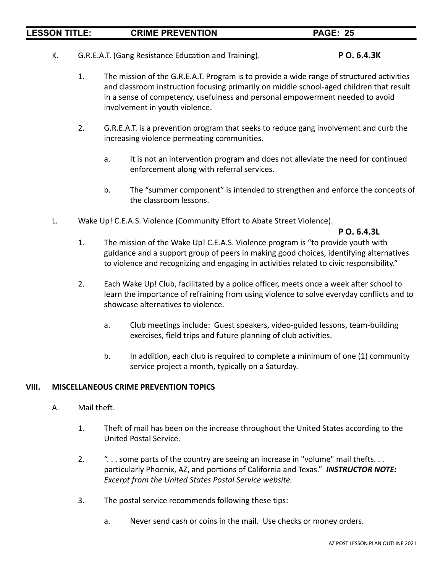- K. G.R.E.A.T. (Gang Resistance Education and Training). **P O. 6.4.3K**
	- 1. The mission of the G.R.E.A.T. Program is to provide a wide range of structured activities and classroom instruction focusing primarily on middle school-aged children that result in a sense of competency, usefulness and personal empowerment needed to avoid involvement in youth violence.
	- 2. G.R.E.A.T. is a prevention program that seeks to reduce gang involvement and curb the increasing violence permeating communities.
		- a. It is not an intervention program and does not alleviate the need for continued enforcement along with referral services.
		- b. The "summer component" is intended to strengthen and enforce the concepts of the classroom lessons.
- L. Wake Up! C.E.A.S. Violence (Community Effort to Abate Street Violence).

### **P O. 6.4.3L**

- 1. The mission of the Wake Up! C.E.A.S. Violence program is "to provide youth with guidance and a support group of peers in making good choices, identifying alternatives to violence and recognizing and engaging in activities related to civic responsibility."
- 2. Each Wake Up! Club, facilitated by a police officer, meets once a week after school to learn the importance of refraining from using violence to solve everyday conflicts and to showcase alternatives to violence.
	- a. Club meetings include: Guest speakers, video-guided lessons, team-building exercises, field trips and future planning of club activities.
	- b. In addition, each club is required to complete a minimum of one (1) community service project a month, typically on a Saturday.

### **VIII. MISCELLANEOUS CRIME PREVENTION TOPICS**

- A. Mail theft.
	- 1. Theft of mail has been on the increase throughout the United States according to the United Postal Service.
	- 2. "... some parts of the country are seeing an increase in "volume" mail thefts... particularly Phoenix, AZ, and portions of California and Texas." *INSTRUCTOR NOTE: Excerpt from the United States Postal Service website.*
	- 3. The postal service recommends following these tips:
		- a. Never send cash or coins in the mail. Use checks or money orders.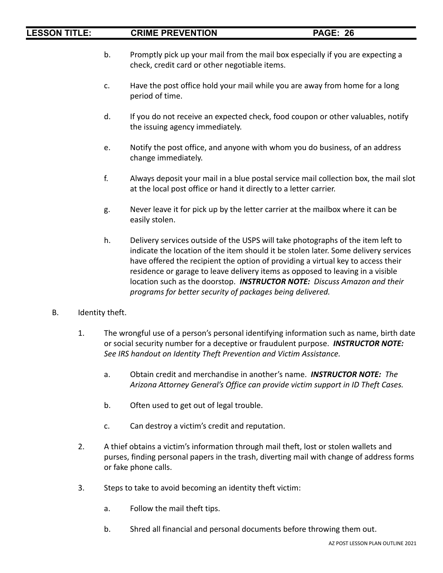- b. Promptly pick up your mail from the mail box especially if you are expecting a check, credit card or other negotiable items.
- c. Have the post office hold your mail while you are away from home for a long period of time.
- d. If you do not receive an expected check, food coupon or other valuables, notify the issuing agency immediately.
- e. Notify the post office, and anyone with whom you do business, of an address change immediately.
- f. Always deposit your mail in a blue postal service mail collection box, the mail slot at the local post office or hand it directly to a letter carrier.
- g. Never leave it for pick up by the letter carrier at the mailbox where it can be easily stolen.
- h. Delivery services outside of the USPS will take photographs of the item left to indicate the location of the item should it be stolen later. Some delivery services have offered the recipient the option of providing a virtual key to access their residence or garage to leave delivery items as opposed to leaving in a visible location such as the doorstop. *INSTRUCTOR NOTE: Discuss Amazon and their programs for better security of packages being delivered.*
- B. Identity theft.
	- 1. The wrongful use of a person's personal identifying information such as name, birth date or social security number for a deceptive or fraudulent purpose. *INSTRUCTOR NOTE: See IRS handout on Identity Theft Prevention and Victim Assistance.*
		- a. Obtain credit and merchandise in another's name. *INSTRUCTOR NOTE: The Arizona Attorney General's Office can provide victim support in ID Theft Cases.*
		- b. Often used to get out of legal trouble.
		- c. Can destroy a victim's credit and reputation.
	- 2. A thief obtains a victim's information through mail theft, lost or stolen wallets and purses, finding personal papers in the trash, diverting mail with change of address forms or fake phone calls.
	- 3. Steps to take to avoid becoming an identity theft victim:
		- a. Follow the mail theft tips.
		- b. Shred all financial and personal documents before throwing them out.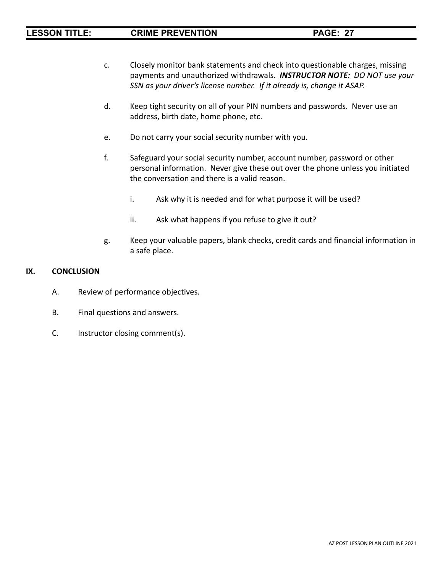- c. Closely monitor bank statements and check into questionable charges, missing payments and unauthorized withdrawals. *INSTRUCTOR NOTE: DO NOT use your SSN as your driver's license number. If it already is, change it ASAP.*
- d. Keep tight security on all of your PIN numbers and passwords. Never use an address, birth date, home phone, etc.
- e. Do not carry your social security number with you.
- f. Safeguard your social security number, account number, password or other personal information. Never give these out over the phone unless you initiated the conversation and there is a valid reason.
	- i. Ask why it is needed and for what purpose it will be used?
	- ii. Ask what happens if you refuse to give it out?
- g. Keep your valuable papers, blank checks, credit cards and financial information in a safe place.

### **IX. CONCLUSION**

- A. Review of performance objectives.
- B. Final questions and answers.
- C. Instructor closing comment(s).